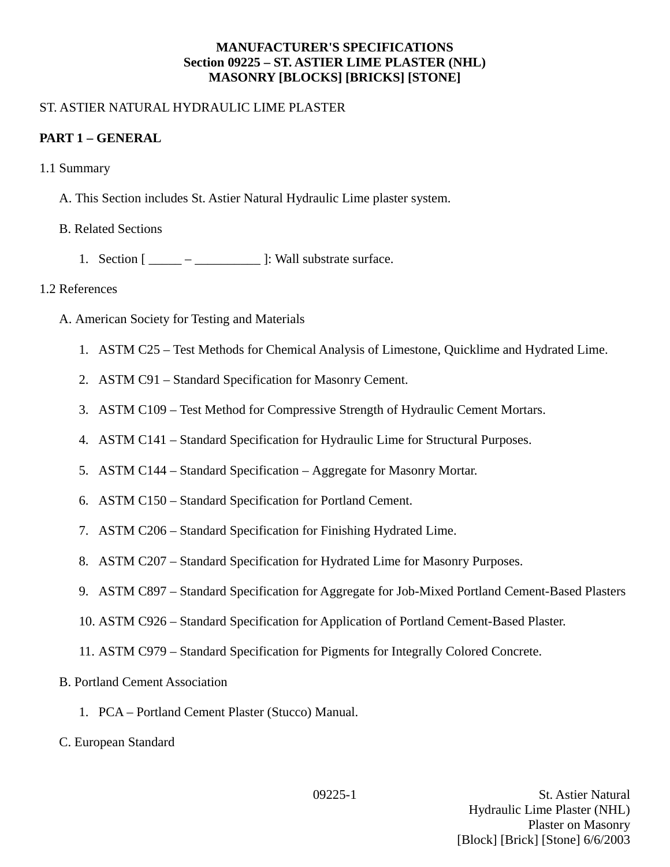### **MANUFACTURER'S SPECIFICATIONS Section 09225 – ST. ASTIER LIME PLASTER (NHL) MASONRY [BLOCKS] [BRICKS] [STONE]**

## ST. ASTIER NATURAL HYDRAULIC LIME PLASTER

## **PART 1 – GENERAL**

- 1.1 Summary
	- A. This Section includes St. Astier Natural Hydraulic Lime plaster system.
	- B. Related Sections
		- 1. Section  $[\underline{\hspace{1cm}} \underline{\hspace{1cm}} \underline{\hspace{1cm}}]$ : Wall substrate surface.

### 1.2 References

- A. American Society for Testing and Materials
	- 1. ASTM C25 Test Methods for Chemical Analysis of Limestone, Quicklime and Hydrated Lime.
	- 2. ASTM C91 Standard Specification for Masonry Cement.
	- 3. ASTM C109 Test Method for Compressive Strength of Hydraulic Cement Mortars.
	- 4. ASTM C141 Standard Specification for Hydraulic Lime for Structural Purposes.
	- 5. ASTM C144 Standard Specification Aggregate for Masonry Mortar.
	- 6. ASTM C150 Standard Specification for Portland Cement.
	- 7. ASTM C206 Standard Specification for Finishing Hydrated Lime.
	- 8. ASTM C207 Standard Specification for Hydrated Lime for Masonry Purposes.
	- 9. ASTM C897 Standard Specification for Aggregate for Job-Mixed Portland Cement-Based Plasters
	- 10. ASTM C926 Standard Specification for Application of Portland Cement-Based Plaster.
	- 11. ASTM C979 Standard Specification for Pigments for Integrally Colored Concrete.
- B. Portland Cement Association
	- 1. PCA Portland Cement Plaster (Stucco) Manual.
- C. European Standard

09225-1 St. Astier Natural Hydraulic Lime Plaster (NHL) Plaster on Masonry [Block] [Brick] [Stone] 6/6/2003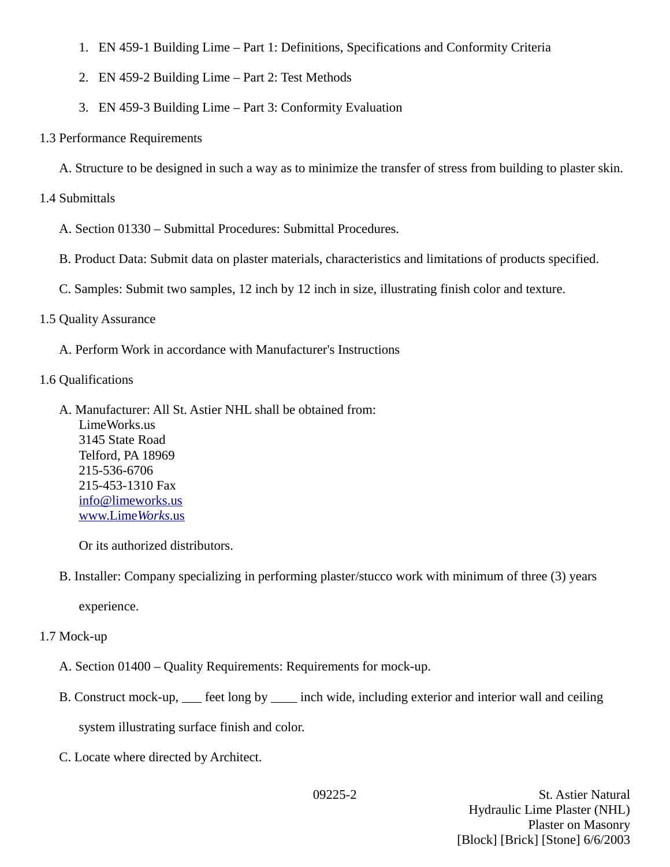- 1. EN 459-1 Building Lime Part 1: Definitions, Specifications and Conformity Criteria
- 2. EN 459-2 Building Lime Part 2: Test Methods
- 3. EN 459-3 Building Lime Part 3: Conformity Evaluation
- 1.3 Performance Requirements

A. Structure to be designed in such a way as to minimize the transfer of stress from building to plaster skin.

# 1.4 Submittals

- A. Section 01330 Submittal Procedures: Submittal Procedures.
- B. Product Data: Submit data on plaster materials, characteristics and limitations of products specified.
- C. Samples: Submit two samples, 12 inch by 12 inch in size, illustrating finish color and texture.

# 1.5 Quality Assurance

- A. Perform Work in accordance with Manufacturer's Instructions
- 1.6 Qualifications
	- A. Manufacturer: All St. Astier NHL shall be obtained from: LimeWorks.us 3145 State Road Telford, PA 18969 215-536-6706 215-453-1310 Fax [info@limeworks.us](mailto:info@limeworks.us)  [www.Lime](http://www.LimeWorks.us/) *[Works](http://www.LimeWorks.us/)*[.us](http://www.LimeWorks.us/)

Or its authorized distributors.

B. Installer: Company specializing in performing plaster/stucco work with minimum of three (3) years

experience.

# 1.7 Mock-up

- A. Section 01400 Quality Requirements: Requirements for mock-up.
- B. Construct mock-up,  $\_\_$  feet long by  $\_\_$  inch wide, including exterior and interior wall and ceiling

system illustrating surface finish and color.

C. Locate where directed by Architect.

09225-2 St. Astier Natural Hydraulic Lime Plaster (NHL) Plaster on Masonry [Block] [Brick] [Stone] 6/6/2003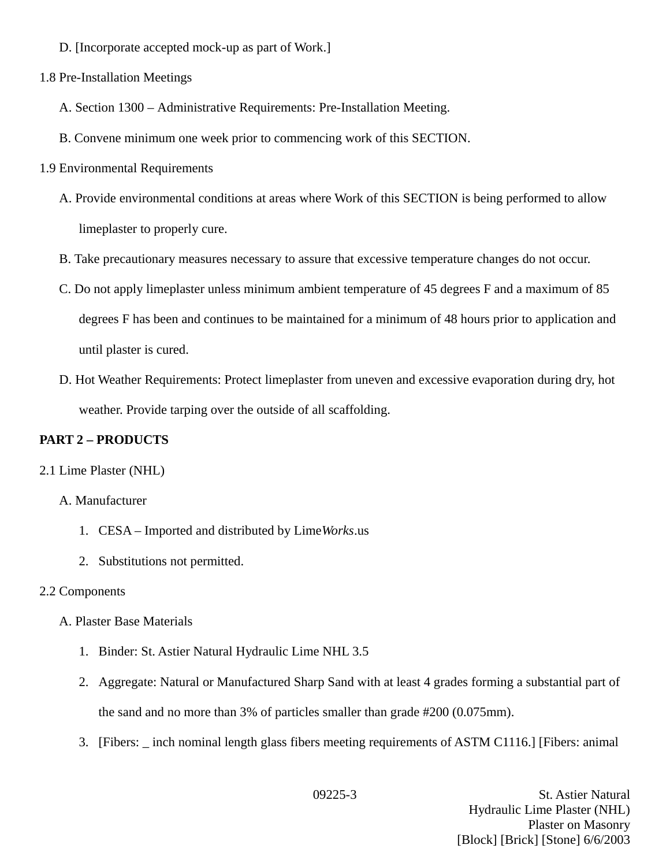- D. [Incorporate accepted mock-up as part of Work.]
- 1.8 Pre-Installation Meetings
	- A. Section 1300 Administrative Requirements: Pre-Installation Meeting.
	- B. Convene minimum one week prior to commencing work of this SECTION.
- 1.9 Environmental Requirements
	- A. Provide environmental conditions at areas where Work of this SECTION is being performed to allow limeplaster to properly cure.
	- B. Take precautionary measures necessary to assure that excessive temperature changes do not occur.
	- C. Do not apply limeplaster unless minimum ambient temperature of 45 degrees F and a maximum of 85 degrees F has been and continues to be maintained for a minimum of 48 hours prior to application and until plaster is cured.
	- D. Hot Weather Requirements: Protect limeplaster from uneven and excessive evaporation during dry, hot weather. Provide tarping over the outside of all scaffolding.

## **PART 2 – PRODUCTS**

#### 2.1 Lime Plaster (NHL)

#### A. Manufacturer

- 1. CESA Imported and distributed by Lime*Works*.us
- 2. Substitutions not permitted.

#### 2.2 Components

- A. Plaster Base Materials
	- 1. Binder: St. Astier Natural Hydraulic Lime NHL 3.5
	- 2. Aggregate: Natural or Manufactured Sharp Sand with at least 4 grades forming a substantial part of the sand and no more than 3% of particles smaller than grade #200 (0.075mm).
	- 3. [Fibers: \_ inch nominal length glass fibers meeting requirements of ASTM C1116.] [Fibers: animal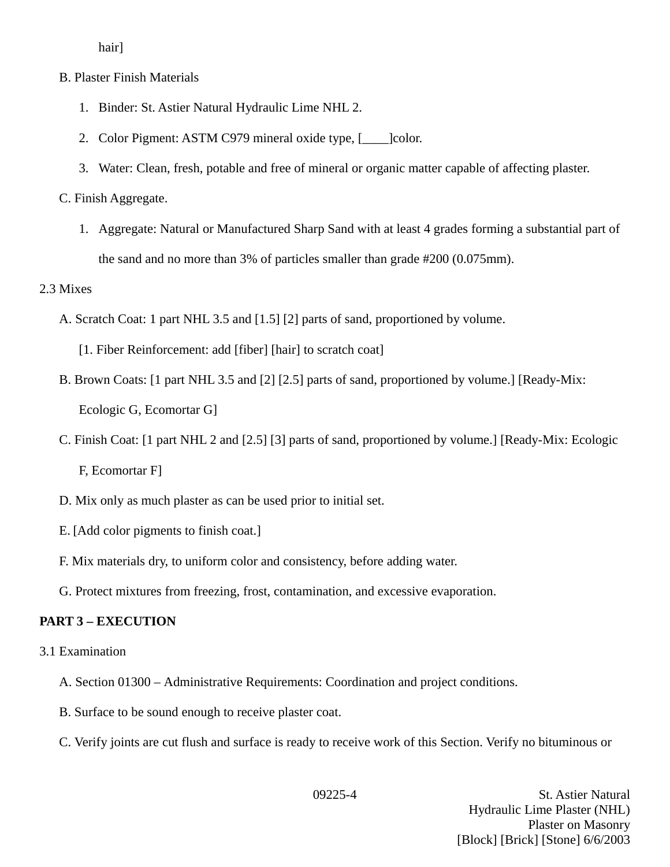hair]

- B. Plaster Finish Materials
	- 1. Binder: St. Astier Natural Hydraulic Lime NHL 2.
	- 2. Color Pigment: ASTM C979 mineral oxide type, [\_\_\_\_]color.
	- 3. Water: Clean, fresh, potable and free of mineral or organic matter capable of affecting plaster.

C. Finish Aggregate.

1. Aggregate: Natural or Manufactured Sharp Sand with at least 4 grades forming a substantial part of the sand and no more than 3% of particles smaller than grade #200 (0.075mm).

## 2.3 Mixes

- A. Scratch Coat: 1 part NHL 3.5 and [1.5] [2] parts of sand, proportioned by volume.
	- [1. Fiber Reinforcement: add [fiber] [hair] to scratch coat]
- B. Brown Coats: [1 part NHL 3.5 and [2] [2.5] parts of sand, proportioned by volume.] [Ready-Mix: Ecologic G, Ecomortar G]
- C. Finish Coat: [1 part NHL 2 and [2.5] [3] parts of sand, proportioned by volume.] [Ready-Mix: Ecologic F, Ecomortar F]
- D. Mix only as much plaster as can be used prior to initial set.
- E. [Add color pigments to finish coat.]
- F. Mix materials dry, to uniform color and consistency, before adding water.
- G. Protect mixtures from freezing, frost, contamination, and excessive evaporation.

# **PART 3 – EXECUTION**

- 3.1 Examination
	- A. Section 01300 Administrative Requirements: Coordination and project conditions.
	- B. Surface to be sound enough to receive plaster coat.
	- C. Verify joints are cut flush and surface is ready to receive work of this Section. Verify no bituminous or

09225-4 St. Astier Natural Hydraulic Lime Plaster (NHL) Plaster on Masonry [Block] [Brick] [Stone] 6/6/2003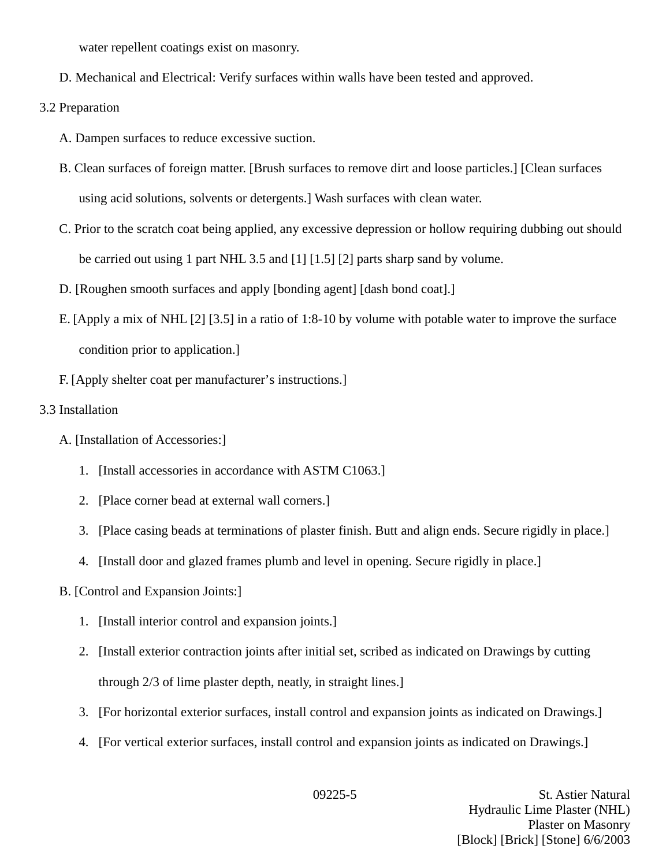water repellent coatings exist on masonry.

D. Mechanical and Electrical: Verify surfaces within walls have been tested and approved.

3.2 Preparation

- A. Dampen surfaces to reduce excessive suction.
- B. Clean surfaces of foreign matter. [Brush surfaces to remove dirt and loose particles.] [Clean surfaces using acid solutions, solvents or detergents.] Wash surfaces with clean water.
- C. Prior to the scratch coat being applied, any excessive depression or hollow requiring dubbing out should be carried out using 1 part NHL 3.5 and [1] [1.5] [2] parts sharp sand by volume.
- D. [Roughen smooth surfaces and apply [bonding agent] [dash bond coat].]
- E. [Apply a mix of NHL [2] [3.5] in a ratio of 1:8-10 by volume with potable water to improve the surface condition prior to application.]
- F. [Apply shelter coat per manufacturer's instructions.]
- 3.3 Installation
	- A. [Installation of Accessories:]
		- 1. [Install accessories in accordance with ASTM C1063.]
		- 2. [Place corner bead at external wall corners.]
		- 3. [Place casing beads at terminations of plaster finish. Butt and align ends. Secure rigidly in place.]
		- 4. [Install door and glazed frames plumb and level in opening. Secure rigidly in place.]
	- B. [Control and Expansion Joints:]
		- 1. [Install interior control and expansion joints.]
		- 2. [Install exterior contraction joints after initial set, scribed as indicated on Drawings by cutting through 2/3 of lime plaster depth, neatly, in straight lines.]
		- 3. [For horizontal exterior surfaces, install control and expansion joints as indicated on Drawings.]
		- 4. [For vertical exterior surfaces, install control and expansion joints as indicated on Drawings.]

09225-5 St. Astier Natural Hydraulic Lime Plaster (NHL) Plaster on Masonry [Block] [Brick] [Stone] 6/6/2003